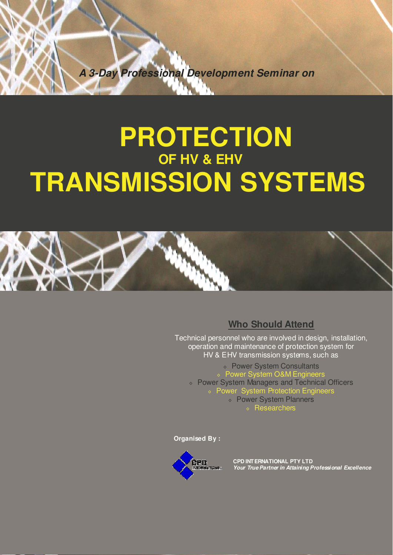**A 3-Day Professional Development Seminar on** 

# **PROTECTION OF HV & EHV TRANSMISSION SYSTEMS**



# **Who Should Attend**

Technical personnel who are involved in design, installation, operation and maintenance of protection system for HV & EHV transmission systems, such as

◊ Power System Consultants ◊ Power System O&M Engineers ◊ Power System Managers and Technical Officers ◊ Power System Protection Engineers ◊ Power System Planners ◊ Researchers

**Organised By :**



**CPD INTERNATIONAL PTY LTD Your True Partner in Attaining Professional Excellence**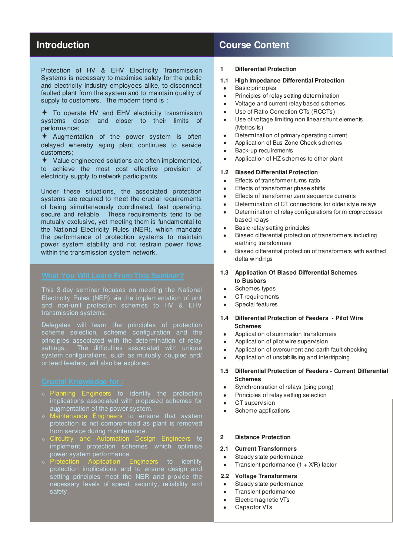Protection of HV & EHV Electricity Transmission Systems is necessary to maximise safety for the public and electricity industry employees alike, to disconnect faulted plant from the system and to maintain quality of supply to customers. The modern trend is :

 $\div$  To operate HV and EHV electricity transmission systems closer and closer to their limits of performance;

 $\div$  Augmentation of the power system is often delayed whereby aging plant continues to service customers;

 $\bigstar$  Value engineered solutions are often implemented, to achieve the most cost effective provision of electricity supply to network participants.

Under these situations, the associated protection systems are required to meet the crucial requirements of being simultaneously coordinated, fast operating, secure and reliable. These requirements tend to be mutually exclusive, yet meeting them is fundamental to the National Electricity Rules (NER), which mandate the performance of protection systems to maintain power system stability and not restrain power flows within the transmission system network.

This 3-day seminar focuses on meeting the National Electricity Rules (NER) via the implementation of unit and non-unit protection schemes to HV & EHV transmission systems.

Delegates will learn the principles of protection scheme selection, scheme configuration and the principles associated with the determination of relay settings. The difficulties associated with unique system configurations, such as mutually coupled and/ or teed feeders, will also be explored.

- ◊ Planning Engineers to identify the protection implications associated with proposed schemes for augmentation of the power system.
- ◊ Maintenance Engineers to ensure that system protection is not compromised as plant is removed from service during maintenance.
- Circuitry and Automation Design Engineers to implement protection schemes which optimise power system performance.
- **Produced Application Application Engineers** to identify protection implications and to ensure design and setting principles meet the NER and provide the necessary levels of speed, security, reliability and safety.

# **Introduction Course Content Introduction**

## **1 Differential Protection**

#### **1.1 High Impedance Differential Protection**

- Basic principles
- Principles of relay setting determination
- Voltage and current relay based schemes
- Use of Ratio Correction CTs (RCCTs)
- Use of voltage limiting non linear shunt elements (Metrosils)
- Determination of primary operating current
- Application of Bus Zone Check schemes
- **Back-up requirements**
- Application of HZ schemes to other plant

#### **1.2 Biased Differential Protection**

- **Effects of transformer turns ratio**
- Effects of transformer phase shifts
- Effects of transformer zero sequence currents
- Determination of CT connections for older style relays
- Determination of relay configurations for microprocessor based relays
- Basic relay setting principles
- Biased differential protection of transformers including earthing transformers
- Biased differential protection of transformers with earthed delta windings
- **1.3 Application Of Biased Differential Schemes to Busbars**
- Schemes types
- CT requirements
- Special features

#### **1.4 Differential Protection of Feeders - Pilot Wire Schemes**

- Application of summation transformers
- Application of pilot wire supervision
- Application of overcurrent and earth fault checking
- Application of unstabilising and intertripping

#### **1.5 Differential Protection of Feeders - Current Differential Schemes**

- Synchronisation of relays (ping pong)
- Principles of relay setting selection
- CT supervision
- Scheme applications

## **2 Distance Protection**

#### **2.1 Current Transformers**

- Steady state performance
- Transient performance  $(1 + X/R)$  factor

#### **2.2 Voltage Transformers**

- Steady state performance
- Transient performance
- Electromagnetic VTs
- Capacitor VTs